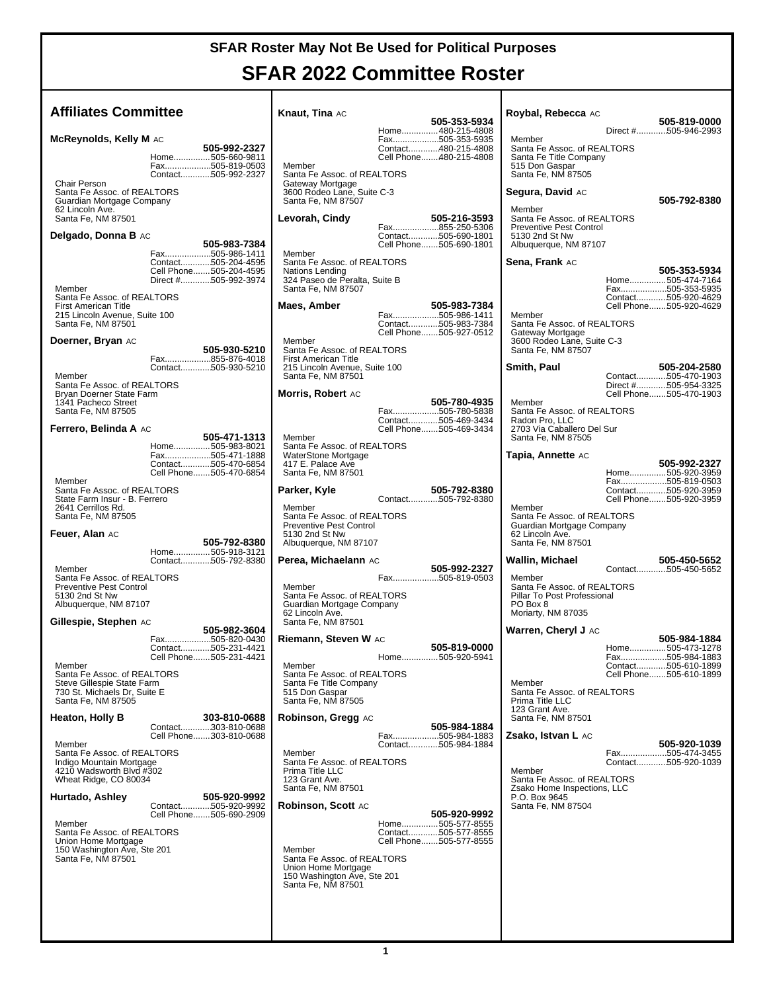#### **SFAR 2022 Committee Roster**

| <b>Affiliates Committee</b>                                                                                                                                                                            | Knaut, Tina AC                                                                                                                                                                                                | 505-353-5934 | Roybal, Rebecca AC                                                                                                  | 505-819-0000                                                                          |
|--------------------------------------------------------------------------------------------------------------------------------------------------------------------------------------------------------|---------------------------------------------------------------------------------------------------------------------------------------------------------------------------------------------------------------|--------------|---------------------------------------------------------------------------------------------------------------------|---------------------------------------------------------------------------------------|
| McReynolds, Kelly M AC                                                                                                                                                                                 | Home480-215-4808<br>Fax505-353-5935                                                                                                                                                                           |              | Member                                                                                                              | Direct #505-946-2993                                                                  |
| 505-992-2327<br>Home505-660-9811<br>Fax505-819-0503<br>Contact505-992-2327<br>Chair Person<br>Santa Fe Assoc. of REALTORS®                                                                             | Contact480-215-4808<br>Cell Phone480-215-4808<br>Member<br>Santa Fe Assoc. of REALTORS®<br>Gateway Mortgage<br>3600 Rodeo Lane, Suite C-3                                                                     |              | Santa Fe Assoc. of REALTORS®<br>Santa Fe Title Company<br>515 Don Gaspar<br>Santa Fe, NM 87505<br>Segura, David AC  |                                                                                       |
| Guardian Mortgage Company<br>62 Lincoln Ave.<br>Santa Fe, NM 87501<br>Delgado, Donna B AC<br>505-983-7384<br>Fax505-986-1411                                                                           | Santa Fe, NM 87507<br>Levorah, Cindy<br>Fax855-250-5306<br>Contact505-690-1801<br>Cell Phone505-690-1801<br>Member                                                                                            | 505-216-3593 | Member<br>Santa Fe Assoc. of REALTORS®<br><b>Preventive Pest Control</b><br>5130 2nd St Nw<br>Albuquerque, NM 87107 | 505-792-8380                                                                          |
| Contact505-204-4595<br>Cell Phone505-204-4595<br>Direct #505-992-3974<br>Member<br>Santa Fe Assoc. of REALTORS®                                                                                        | Santa Fe Assoc. of REALTORS®<br>Nations Lending<br>324 Paseo de Peralta, Suite B<br>Santa Fe, NM 87507                                                                                                        |              | Sena, Frank AC                                                                                                      | 505-353-5934<br>Home505-474-7164<br>Fax505-353-5935<br>Contact505-920-4629            |
| <b>First American Title</b><br>215 Lincoln Avenue, Suite 100<br>Santa Fe, NM 87501<br>Doerner, Bryan AC                                                                                                | Maes, Amber<br>Fax505-986-1411<br>Contact505-983-7384<br>Cell Phone505-927-0512<br>Member                                                                                                                     | 505-983-7384 | Member<br>Santa Fe Assoc. of REALTORS®<br>Gateway Mortgage<br>3600 Rodeo Lane, Suite C-3                            | Cell Phone505-920-4629                                                                |
| 505-930-5210<br>Fax855-876-4018<br>Contact505-930-5210<br>Member<br>Santa Fe Assoc. of REALTORS®<br>Bryan Doerner State Farm                                                                           | Santa Fe Assoc. of REALTORS®<br><b>First American Title</b><br>215 Lincoln Avenue, Suite 100<br>Santa Fe, NM 87501<br>Morris, Robert AC                                                                       |              | Santa Fe, NM 87507<br>Smith, Paul                                                                                   | 505-204-2580<br>Contact505-470-1903<br>Direct #505-954-3325<br>Cell Phone505-470-1903 |
| 1341 Pacheco Street<br>Santa Fe, NM 87505<br>Ferrero, Belinda A AC<br>505-471-1313                                                                                                                     | Fax505-780-5838<br>Contact505-469-3434<br>Cell Phone505-469-3434<br>Member                                                                                                                                    | 505-780-4935 | Member<br>Santa Fe Assoc. of REALTORS®<br>Radon Pro, LLC<br>2703 Via Caballero Del Sur<br>Santa Fe, NM 87505        |                                                                                       |
| Home505-983-8021<br>Fax505-471-1888<br>Contact505-470-6854<br>Cell Phone505-470-6854<br>Member                                                                                                         | Santa Fe Assoc. of REALTORS®<br>WaterStone Mortgage<br>417 E. Palace Ave<br>Santa Fe, NM 87501                                                                                                                |              | Tapia, Annette AC                                                                                                   | 505-992-2327<br>Home505-920-3959<br>Fax505-819-0503                                   |
| Santa Fe Assoc. of REALTORS®<br>State Farm Insur - B. Ferrero<br>2641 Cerrillos Rd.<br>Santa Fe, NM 87505                                                                                              | Parker, Kyle<br>Contact505-792-8380<br>Member<br>Santa Fe Assoc. of REALTORS®<br>Preventive Pest Control                                                                                                      | 505-792-8380 | Member<br>Santa Fe Assoc. of REALTORS®<br>Guardian Mortgage Company                                                 | Contact505-920-3959<br>Cell Phone505-920-3959                                         |
| Feuer, Alan AC<br>505-792-8380<br>Home505-918-3121<br>Contact505-792-8380<br>Member                                                                                                                    | 5130 2nd St Nw<br>Albuquerque, NM 87107<br>Perea, Michaelann AC                                                                                                                                               | 505-992-2327 | 62 Lincoln Ave.<br>Santa Fe, NM 87501<br>Wallin, Michael                                                            | 505-450-5652<br>Contact505-450-5652                                                   |
| Santa Fe Assoc. of REALTORS®<br><b>Preventive Pest Control</b><br>5130 2nd St Nw<br>Albuquerque, NM 87107                                                                                              | Fax505-819-0503<br>Member<br>Santa Fe Assoc. of REALTORS®<br>Guardian Mortgage Company<br>62 Lincoln Ave.                                                                                                     |              | Member<br>Santa Fe Assoc. of REALTORS®<br>Pillar To Post Professional<br>PO Box 8<br>Moriarty, NM 87035             |                                                                                       |
| Gillespie, Stephen AC<br>505-982-3604<br>Fax505-820-0430                                                                                                                                               | Santa Fe, NM 87501<br>Riemann, Steven W AC                                                                                                                                                                    |              | Warren, Cheryl J AC                                                                                                 | 505-984-1884                                                                          |
| Contact505-231-4421<br>Cell Phone505-231-4421<br>Member<br>Santa Fe Assoc. of REALTORS®                                                                                                                | Home505-920-5941<br>Member<br>Santa Fe Assoc. of REALTORS®                                                                                                                                                    | 505-819-0000 |                                                                                                                     | Home505-473-1278<br>Fax505-984-1883<br>Contact505-610-1899<br>Cell Phone505-610-1899  |
| Steve Gillespie State Farm<br>730 St. Michaels Dr. Suite E<br>Santa Fe, NM 87505<br>Heaton, Holly B<br>303-810-0688                                                                                    | Santa Fe Title Company<br>515 Don Gaspar<br>Santa Fe, NM 87505<br>Robinson, Gregg AC                                                                                                                          |              | Member<br>Santa Fe Assoc. of REALTORS®<br>Prima Title LLC<br>123 Grant Ave.<br>Santa Fe, NM 87501                   |                                                                                       |
| Contact303-810-0688<br>Cell Phone303-810-0688<br>Member                                                                                                                                                | Fax505-984-1883<br>Contact505-984-1884                                                                                                                                                                        | 505-984-1884 | Zsako, Istvan L AC                                                                                                  | 505-920-1039                                                                          |
| Santa Fe Assoc. of REALTORS®<br>Indigo Mountain Mortgage<br>4210 Wadsworth Blvd #302<br>Wheat Ridge, CO 80034                                                                                          | Member<br>Santa Fe Assoc. of REALTORS®<br>Prima Title LLC<br>123 Grant Ave.<br>Santa Fe, NM 87501                                                                                                             |              | Member<br>Santa Fe Assoc. of REALTORS®<br>Zsako Home Inspections, LLC                                               | Fax505-474-3455<br>Contact505-920-1039                                                |
| 505-920-9992<br>Hurtado, Ashley<br>Contact505-920-9992<br>Cell Phone505-690-2909<br>Member<br>Santa Fe Assoc. of REALTORS®<br>Union Home Mortgage<br>150 Washington Ave, Ste 201<br>Santa Fe, NM 87501 | Robinson, Scott AC<br>Home505-577-8555<br>Contact505-577-8555<br>Cell Phone505-577-8555<br>Member<br>Santa Fe Assoc. of REALTORS®<br>Union Home Mortgage<br>150 Washington Ave, Ste 201<br>Santa Fe, NM 87501 | 505-920-9992 | P.O. Box 9645<br>Santa Fe, NM 87504                                                                                 |                                                                                       |
|                                                                                                                                                                                                        |                                                                                                                                                                                                               |              |                                                                                                                     |                                                                                       |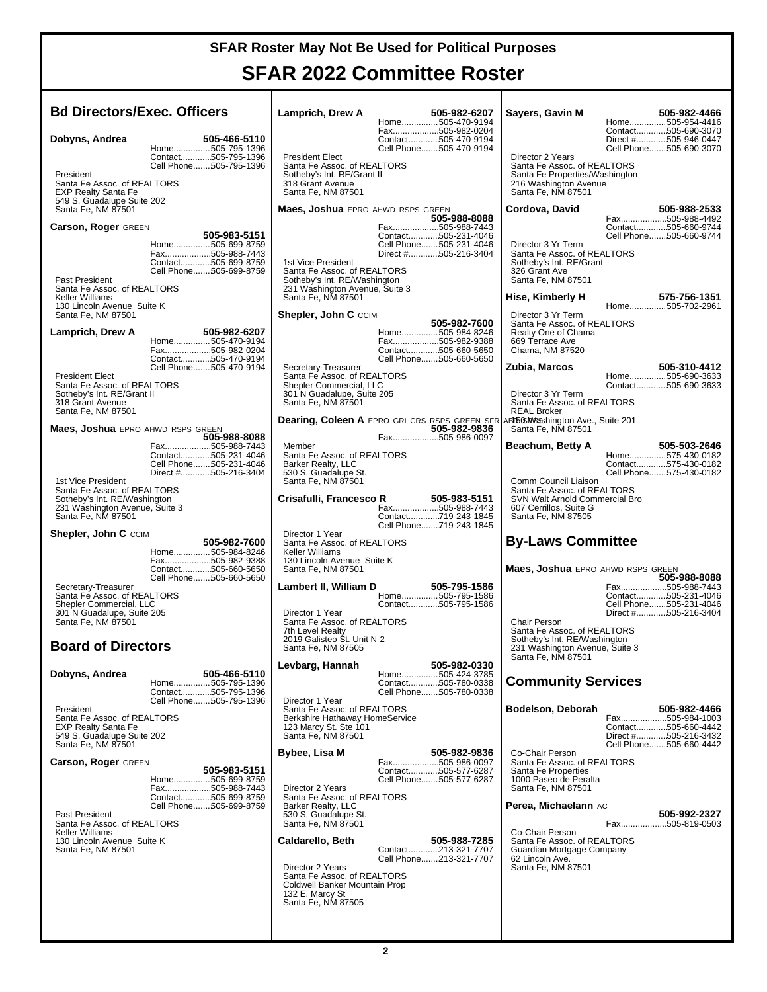### **SFAR 2022 Committee Roster**

т

| <b>Bd Directors/Exec. Officers</b>                                                                                             |                                                                                                      | Lamprich, Drew A                                                                                                                               | 505-982-6207<br>Home505-470-9194                                                                     | Sayers, Gavin M                                                                                                                   | 505-982-4466<br>Home505-954-4416                                                                         |
|--------------------------------------------------------------------------------------------------------------------------------|------------------------------------------------------------------------------------------------------|------------------------------------------------------------------------------------------------------------------------------------------------|------------------------------------------------------------------------------------------------------|-----------------------------------------------------------------------------------------------------------------------------------|----------------------------------------------------------------------------------------------------------|
| Dobyns, Andrea<br>President<br>Santa Fe Assoc. of REALTORS®<br><b>EXP Realty Santa Fe</b><br>549 S. Guadalupe Suite 202        | 505-466-5110<br>Home505-795-1396<br>Contact505-795-1396<br>Cell Phone505-795-1396                    | <b>President Elect</b><br>Santa Fe Assoc. of REALTORS®<br>Sotheby's Int. RE/Grant II<br>318 Grant Avenue<br>Santa Fe, NM 87501                 | Fax505-982-0204<br>Contact505-470-9194<br>Cell Phone505-470-9194                                     | Director 2 Years<br>Santa Fe Assoc. of REALTORS®<br>Santa Fe Properties/Washington<br>216 Washington Avenue<br>Santa Fe, NM 87501 | Contact505-690-3070<br>Direct #505-946-0447<br>Cell Phone505-690-3070                                    |
| Santa Fe, NM 87501                                                                                                             |                                                                                                      | <b>Maes, Joshua</b> EPRO AHWD RSPS GREEN                                                                                                       | 505-988-8088                                                                                         | Cordova, David                                                                                                                    | 505-988-2533<br>Fax505-988-4492                                                                          |
| Carson, Roger GREEN<br>Past President<br>Santa Fe Assoc. of REALTORS®                                                          | 505-983-5151<br>Home505-699-8759<br>Fax505-988-7443<br>Contact505-699-8759<br>Cell Phone505-699-8759 | 1st Vice President<br>Santa Fe Assoc. of REALTORS®<br>Sotheby's Int. RE/Washington<br>231 Washington Avenue, Suite 3                           | Fax505-988-7443<br>Contact505-231-4046<br>Cell Phone505-231-4046<br>Direct #505-216-3404             | Director 3 Yr Term<br>Santa Fe Assoc. of REALTORS®<br>Sotheby's Int. RE/Grant<br>326 Grant Ave<br>Santa Fe, NM 87501              | Contact505-660-9744<br>Cell Phone505-660-9744                                                            |
| Keller Williams<br>130 Lincoln Avenue Suite K                                                                                  |                                                                                                      | Santa Fe, NM 87501                                                                                                                             |                                                                                                      | Hise, Kimberly H                                                                                                                  | 575-756-1351<br>Home505-702-2961                                                                         |
| Santa Fe, NM 87501<br>Lamprich, Drew A                                                                                         | 505-982-6207<br>Home505-470-9194<br>Fax505-982-0204<br>Contact505-470-9194                           | <b>Shepler, John C CCIM</b>                                                                                                                    | 505-982-7600<br>Home505-984-8246<br>Fax505-982-9388<br>Contact505-660-5650<br>Cell Phone505-660-5650 | Director 3 Yr Term<br>Santa Fe Assoc. of REALTORS®<br>Realty One of Chama<br>669 Terrace Ave<br>Chama, NM 87520                   |                                                                                                          |
| <b>President Elect</b><br>Santa Fe Assoc. of REALTORS®<br>Sotheby's Int. RE/Grant II<br>318 Grant Avenue<br>Santa Fe, NM 87501 | Cell Phone505-470-9194                                                                               | Secretary-Treasurer<br>Santa Fe Assoc. of REALTORS®<br>Shepler Commercial, LLC<br>301 N Guadalupe, Suite 205<br>Santa Fe, NM 87501             |                                                                                                      | Zubia, Marcos<br>Director 3 Yr Term<br>Santa Fe Assoc. of REALTORS®<br><b>REAL Broker</b>                                         | 505-310-4412<br>Home505-690-3633<br>Contact505-690-3633                                                  |
| <b>Maes, Joshua</b> EPRO AHWD RSPS GREEN                                                                                       | 505-988-8088                                                                                         |                                                                                                                                                | 505-982-9836<br>Fax505-986-0097                                                                      | Dearing, Coleen A EPRO GRI CRS RSPS GREEN SFR ABITGERIngton Ave., Suite 201<br>Santa Fe, NM 87501                                 |                                                                                                          |
| 1st Vice President                                                                                                             | Fax505-988-7443<br>Contact505-231-4046<br>Cell Phone505-231-4046<br>Direct #505-216-3404             | Member<br>Santa Fe Assoc. of REALTORS®<br>Barker Realty, LLC<br>530 S. Guadalupe St.<br>Santa Fe, NM 87501                                     |                                                                                                      | Beachum, Betty A<br>Comm Council Liaison                                                                                          | 505-503-2646<br>Home575-430-0182<br>Contact575-430-0182<br>Cell Phone575-430-0182                        |
| Santa Fe Assoc. of REALTORS®<br>Sotheby's Int. RE/Washington<br>231 Washington Avenue, Suite 3<br>Santa Fe, NM 87501           |                                                                                                      | Crisafulli, Francesco R                                                                                                                        | R 505-983-5151<br>Fax505-988-7443<br>Contact719-243-1845<br>Cell Phone719-243-1845                   | Santa Fe Assoc. of REALTORS®<br>SVN Walt Arnold Commercial Bro<br>607 Cerrillos, Suite G<br>Santa Fe, NM 87505                    |                                                                                                          |
| <b>Shepler, John C CCIM</b>                                                                                                    | 505-982-7600<br>Home505-984-8246                                                                     | Director 1 Year<br>Santa Fe Assoc. of REALTORS®<br>Keller Williams                                                                             |                                                                                                      | <b>By-Laws Committee</b>                                                                                                          |                                                                                                          |
| Secretary-Treasurer                                                                                                            | Fax505-982-9388<br>Contact505-660-5650<br>Cell Phone505-660-5650                                     | 130 Lincoln Avenue Suite K<br>Santa Fe, NM 87501<br>Lambert II, William D                                                                      | 505-795-1586                                                                                         | <b>Maes, Joshua</b> EPRO AHWD RSPS GREEN                                                                                          | 505-988-8088<br>Fax505-988-7443                                                                          |
| Santa Fe Assoc. of REALTORS®<br>Shepler Commercial, LLC<br>301 N Guadalupe, Suite 205<br>Santa Fe, NM 87501                    |                                                                                                      | Director 1 Year<br>Santa Fe Assoc. of REALTORS®<br>7th Level Realty                                                                            | Home505-795-1586<br>Contact505-795-1586                                                              | Chair Person<br>Santa Fe Assoc. of REALTORS®                                                                                      | Contact505-231-4046<br>Cell Phone505-231-4046<br>Direct #505-216-3404                                    |
| <b>Board of Directors</b>                                                                                                      |                                                                                                      | 2019 Galisteo St. Unit N-2<br>Santa Fe, NM 87505                                                                                               |                                                                                                      | Sotheby's Int. RE/Washington<br>231 Washington Avenue, Suite 3<br>Santa Fe, NM 87501                                              |                                                                                                          |
| Dobyns, Andrea                                                                                                                 | 505-466-5110<br>Home505-795-1396<br>Contact505-795-1396                                              | Levbarg, Hannah<br>Director 1 Year                                                                                                             | 505-982-0330<br>Home505-424-3785<br>Contact505-780-0338<br>Cell Phone505-780-0338                    | <b>Community Services</b>                                                                                                         |                                                                                                          |
| President<br>Santa Fe Assoc. of REALTORS®<br><b>EXP Realty Santa Fe</b><br>549 S. Guadalupe Suite 202<br>Santa Fe, NM 87501    | Cell Phone505-795-1396                                                                               | Santa Fe Assoc. of REALTORS®<br>Berkshire Hathaway HomeService<br>123 Marcy St. Ste 101<br>Santa Fe, NM 87501                                  |                                                                                                      | Bodelson, Deborah                                                                                                                 | 505-982-4466<br>Fax505-984-1003<br>Contact505-660-4442<br>Direct #505-216-3432<br>Cell Phone505-660-4442 |
| <b>Carson, Roger GREEN</b>                                                                                                     | 505-983-5151<br>Home505-699-8759<br>Fax505-988-7443                                                  | Bybee, Lisa M<br>Director 2 Years<br>Santa Fe Assoc. of REALTORS®                                                                              | 505-982-9836<br>Fax505-986-0097<br>Contact505-577-6287<br>Cell Phone505-577-6287                     | Co-Chair Person<br>Santa Fe Assoc. of REALTORS®<br>Santa Fe Properties<br>1000 Paseo de Peralta<br>Santa Fe, NM 87501             |                                                                                                          |
| Past President<br>Santa Fe Assoc. of REALTORS®<br>Keller Williams                                                              | Contact505-699-8759<br>Cell Phone505-699-8759                                                        | Barker Realty, LLC<br>530 S. Guadalupe St.<br>Santa Fe, NM 87501                                                                               |                                                                                                      | Perea, Michaelann AC<br>Co-Chair Person                                                                                           | 505-992-2327<br>Fax505-819-0503                                                                          |
| 130 Lincoln Avenue Suite K<br>Santa Fe, NM 87501                                                                               |                                                                                                      | Caldarello, Beth<br>Director 2 Years<br>Santa Fe Assoc. of REALTORS®<br>Coldwell Banker Mountain Prop<br>132 E. Marcy St<br>Santa Fe, NM 87505 | 505-988-7285<br>Contact213-321-7707<br>Cell Phone213-321-7707                                        | Santa Fe Assoc. of REALTORS®<br>Guardian Mortgage Company<br>62 Lincoln Ave.<br>Santa Fe, NM 87501                                |                                                                                                          |
|                                                                                                                                |                                                                                                      |                                                                                                                                                |                                                                                                      |                                                                                                                                   |                                                                                                          |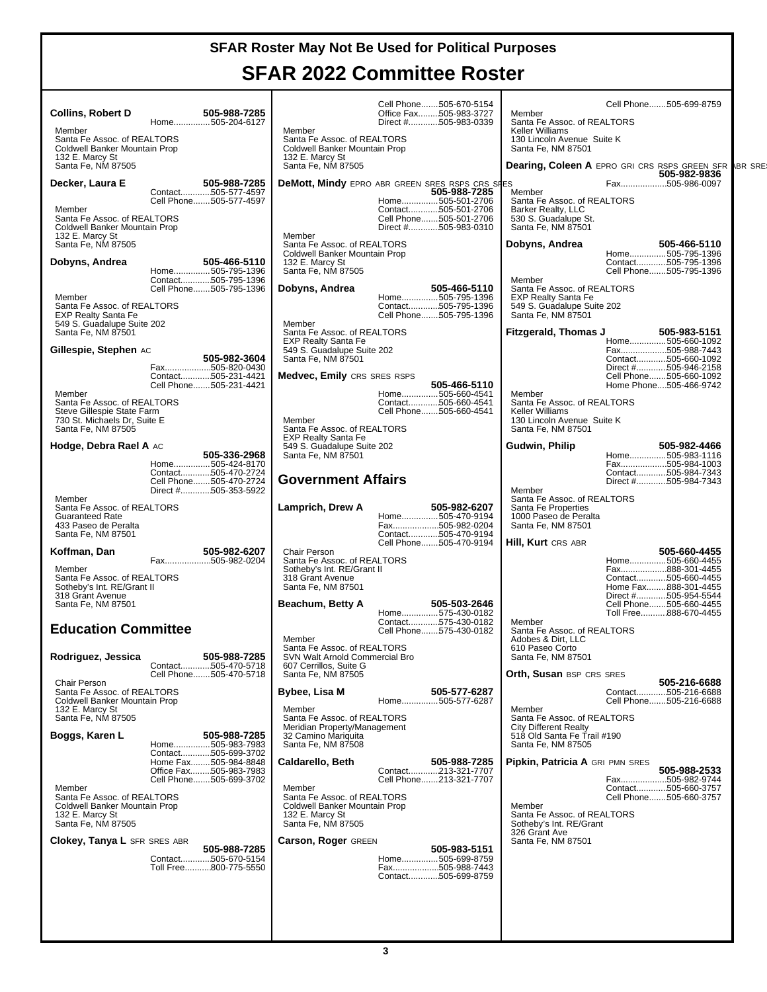### **SFAR 2022 Committee Roster**

**DEAR** SRE

| <b>Collins, Robert D</b><br>505-988-7285<br>Home505-204-6127<br>Member<br>Santa Fe Assoc. of REALTORS®<br>Coldwell Banker Mountain Prop<br>132 E. Marcy St<br>Santa Fe, NM 87505                  | Cell Phone505-670-5154<br>Office Fax505-983-3727<br>Direct #505-983-0339<br>Member<br>Santa Fe Assoc. of REALTORS®<br>Coldwell Banker Mountain Prop<br>132 E. Marcy St<br>Santa Fe, NM 87505                  | Cell Phone505-699-8759<br>Member<br>Santa Fe Assoc. of REALTORS®<br>Keller Williams<br>130 Lincoln Avenue Suite K<br>Santa Fe, NM 87501<br>Dearing, Coleen A EPRO GRI CRS RSPS GREEN SFR                                        |
|---------------------------------------------------------------------------------------------------------------------------------------------------------------------------------------------------|---------------------------------------------------------------------------------------------------------------------------------------------------------------------------------------------------------------|---------------------------------------------------------------------------------------------------------------------------------------------------------------------------------------------------------------------------------|
| 505-988-7285<br>Decker, Laura E<br>Contact505-577-4597<br>Cell Phone505-577-4597<br>Member<br>Santa Fe Assoc. of REALTORS®<br>Coldwell Banker Mountain Prop<br>132 E. Marcy St                    | <b>DeMott, Mindy</b> EPRO ABR GREEN SRES RSPS CRS SHES<br>505-988-7285<br>Home505-501-2706<br>Contact505-501-2706<br>Cell Phone505-501-2706<br>Direct #505-983-0310<br>Member                                 | 505-982-9836<br>Fax505-986-0097<br>Member<br>Santa Fe Assoc. of REALTORS®<br>Barker Realty, LLC<br>530 S. Guadalupe St.<br>Santa Fe, NM 87501                                                                                   |
| Santa Fe. NM 87505<br>Dobyns, Andrea<br>505-466-5110<br>Home505-795-1396<br>Contact505-795-1396<br>Cell Phone505-795-1396<br>Member<br>Santa Fe Assoc. of REALTORS®<br><b>EXP Realty Santa Fe</b> | Santa Fe Assoc. of REALTORS®<br>Coldwell Banker Mountain Prop<br>132 E. Marcy St<br>Santa Fe, NM 87505<br>Dobyns, Andrea<br>505-466-5110<br>Home505-795-1396<br>Contact505-795-1396<br>Cell Phone505-795-1396 | Dobyns, Andrea<br>505-466-5110<br>Home505-795-1396<br>Contact505-795-1396<br>Cell Phone505-795-1396<br>Member<br>Santa Fe Assoc. of REALTORS®<br><b>EXP Realty Santa Fe</b><br>549 S. Guadalupe Suite 202<br>Santa Fe, NM 87501 |
| 549 S. Guadalupe Suite 202<br>Santa Fe, NM 87501<br>Gillespie, Stephen AC<br>505-982-3604<br>Fax505-820-0430<br>Contact505-231-4421<br>Cell Phone505-231-4421<br>Member                           | Member<br>Santa Fe Assoc. of REALTORS®<br><b>EXP Realty Santa Fe</b><br>549 S. Guadalupe Suite 202<br>Santa Fe, NM 87501<br><b>Medvec, Emily</b> CRS SRES RSPS<br>505-466-5110<br>Home505-660-4541            | <b>Fitzgerald, Thomas J</b><br>505-983-5151<br>Home505-660-1092<br>Fax505-988-7443<br>Contact505-660-1092<br>Direct #505-946-2158<br>Cell Phone505-660-1092<br>Home Phone505-466-9742<br>Member                                 |
| Santa Fe Assoc. of REALTORS®<br>Steve Gillespie State Farm<br>730 St. Michaels Dr. Suite E<br>Santa Fe, NM 87505<br>Hodge, Debra Rael A AC<br>505-336-2968<br>Home505-424-8170                    | Contact505-660-4541<br>Cell Phone505-660-4541<br>Member<br>Santa Fe Assoc. of REALTORS®<br><b>EXP Realty Santa Fe</b><br>549 S. Guadalupe Suite 202<br>Santa Fe, NM 87501                                     | Santa Fe Assoc. of REALTORS®<br>Keller Williams<br>130 Lincoln Avenue Suite K<br>Santa Fe. NM 87501<br>Gudwin, Philip<br>505-982-4466<br>Home505-983-1116<br>Fax505-984-1003                                                    |
| Contact505-470-2724<br>Cell Phone505-470-2724<br>Direct #505-353-5922<br>Member<br>Santa Fe Assoc. of REALTORS®<br><b>Guaranteed Rate</b><br>433 Paseo de Peralta<br>Santa Fe, NM 87501           | <b>Government Affairs</b><br>Lamprich, Drew A<br>505-982-6207<br>Home505-470-9194<br>Fax505-982-0204<br>Contact505-470-9194<br>Cell Phone505-470-9194                                                         | Contact505-984-7343<br>Direct #505-984-7343<br>Member<br>Santa Fe Assoc. of REALTORS®<br>Santa Fe Properties<br>1000 Paseo de Peralta<br>Santa Fe, NM 87501<br><b>Hill, Kurt</b> Crs Abr                                        |
| 505-982-6207<br>Koffman, Dan<br>Fax505-982-0204<br>Member<br>Santa Fe Assoc. of REALTORS®<br>Sotheby's Int. RE/Grant II<br>318 Grant Avenue<br>Santa Fe, NM 87501                                 | Chair Person<br>Santa Fe Assoc. of REALTORS®<br>Sotheby's Int. RE/Grant II<br>318 Grant Avenue<br>Santa Fe. NM 87501<br>505-503-2646<br>Beachum, Betty A<br>Home575-430-0182                                  | 505-660-4455<br>Home505-660-4455<br>Fax888-301-4455<br>Contact505-660-4455<br>Home Fax888-301-4455<br>Direct #505-954-5544<br>Cell Phone505-660-4455<br>Toll Free888-670-4455                                                   |
| <b>Education Committee</b><br>505-988-7285<br>Rodriguez, Jessica<br>Contact505-470-5718                                                                                                           | Contact575-430-0182<br>Cell Phone575-430-0182<br>Member<br>Santa Fe Assoc. of REALTORS®<br>SVN Walt Arnold Commercial Bro<br>607 Cerrillos, Suite G<br>Santa Fe, NM 87505                                     | Member<br>Santa Fe Assoc. of REALTORS®<br>Adobes & Dirt, LLC<br>610 Paseo Corto<br>Santa Fe, NM 87501<br><b>Orth, Susan BSP CRS SRES</b>                                                                                        |
| Cell Phone505-470-5718<br>Chair Person<br>Santa Fe Assoc. of REALTORS®<br>Coldwell Banker Mountain Prop<br>132 E. Marcy St<br>Santa Fe, NM 87505<br>Boggs, Karen L<br>505-988-7285                | Bybee, Lisa M<br>505-577-6287<br>Home505-577-6287<br>Member<br>Santa Fe Assoc. of REALTORS®<br>Meridian Property/Management<br>32 Camino Mariguita                                                            | 505-216-6688<br>Contact505-216-6688<br>Cell Phone505-216-6688<br>Member<br>Santa Fe Assoc. of REALTORS®<br><b>City Different Realty</b><br>518 Old Santa Fe Trail #190                                                          |
| Home505-983-7983<br>Contact505-699-3702<br>Home Fax505-984-8848<br>Office Fax505-983-7983<br>Cell Phone505-699-3702<br>Member<br>Santa Fe Assoc. of REALTORS®<br>Coldwell Banker Mountain Prop    | Santa Fe, NM 87508<br><b>Caldarello, Beth</b><br>505-988-7285<br>Contact213-321-7707<br>Cell Phone213-321-7707<br>Member<br>Santa Fe Assoc. of REALTORS®<br>Coldwell Banker Mountain Prop                     | Santa Fe, NM 87505<br>Pipkin, Patricia A GRI PMN SRES<br>505-988-2533<br>Fax505-982-9744<br>Contact505-660-3757<br>Cell Phone505-660-3757<br>Member                                                                             |
| 132 E. Marcy St<br>Santa Fe, NM 87505<br><b>Clokey, Tanya L SFR SRES ABR</b><br>505-988-7285<br>Contact505-670-5154<br>Toll Free800-775-5550                                                      | 132 E. Marcy St<br>Santa Fe, NM 87505<br><b>Carson, Roger GREEN</b><br>505-983-5151<br>Home505-699-8759<br>Fax505-988-7443<br>Contact505-699-8759                                                             | Santa Fe Assoc. of REALTORS®<br>Sotheby's Int. RE/Grant<br>326 Grant Ave<br>Santa Fe, NM 87501                                                                                                                                  |
|                                                                                                                                                                                                   |                                                                                                                                                                                                               |                                                                                                                                                                                                                                 |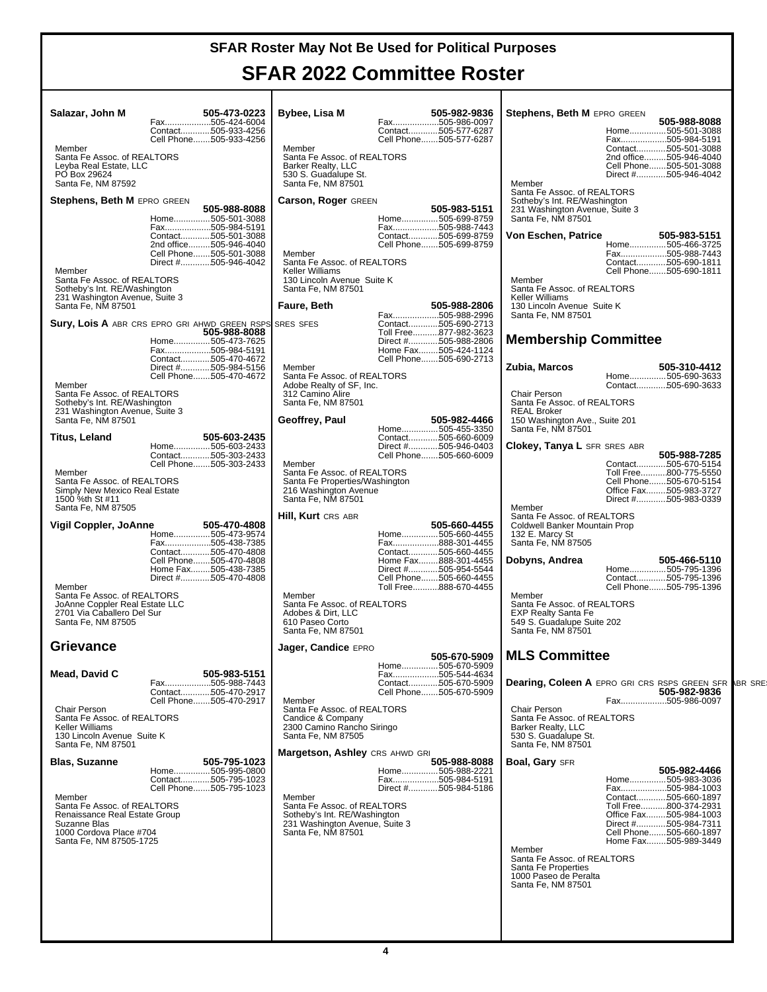### **SFAR 2022 Committee Roster**

| Salazar, John M                                                                                                     | 505-473-0223                                                                                  | Bybee, Lisa M                                                                                                                  | 505-982-9836                                                                                                           | Stephens, Beth M EPRO GREEN                                                                                              |                                                                                                                          |
|---------------------------------------------------------------------------------------------------------------------|-----------------------------------------------------------------------------------------------|--------------------------------------------------------------------------------------------------------------------------------|------------------------------------------------------------------------------------------------------------------------|--------------------------------------------------------------------------------------------------------------------------|--------------------------------------------------------------------------------------------------------------------------|
|                                                                                                                     | Fax505-424-6004<br>Contact505-933-4256                                                        |                                                                                                                                | Fax505-986-0097<br>Contact505-577-6287                                                                                 |                                                                                                                          | 505-988-8088<br>Home505-501-3088                                                                                         |
| Member<br>Santa Fe Assoc. of REALTORS®                                                                              | Cell Phone505-933-4256                                                                        | Member<br>Santa Fe Assoc. of REALTORS®                                                                                         | Cell Phone505-577-6287                                                                                                 |                                                                                                                          | Fax505-984-5191<br>Contact505-501-3088<br>2nd office505-946-4040                                                         |
| Leyba Real Estate, LLC<br>PO Box 29624                                                                              |                                                                                               | Barker Realty, LLC<br>530 S. Guadalupe St.                                                                                     |                                                                                                                        |                                                                                                                          | Cell Phone505-501-3088<br>Direct #505-946-4042                                                                           |
| Santa Fe, NM 87592<br><b>Stephens, Beth M EPRO GREEN</b>                                                            |                                                                                               | Santa Fe, NM 87501<br>Carson, Roger GREEN                                                                                      |                                                                                                                        | Member<br>Santa Fe Assoc. of REALTORS®<br>Sotheby's Int. RE/Washington                                                   |                                                                                                                          |
|                                                                                                                     | 505-988-8088<br>Home505-501-3088<br>Fax505-984-5191                                           |                                                                                                                                | 505-983-5151<br>Home505-699-8759                                                                                       | 231 Washington Avenue, Suite 3<br>Santa Fe, NM 87501                                                                     |                                                                                                                          |
|                                                                                                                     | Contact505-501-3088<br>2nd office505-946-4040                                                 |                                                                                                                                | Fax505-988-7443<br>Contact505-699-8759<br>Cell Phone505-699-8759                                                       | Von Eschen, Patrice                                                                                                      | 505-983-5151<br>Home505-466-3725                                                                                         |
| Member                                                                                                              | Cell Phone505-501-3088<br>Direct #505-946-4042                                                | Member<br>Santa Fe Assoc. of REALTORS®<br><b>Keller Williams</b>                                                               |                                                                                                                        |                                                                                                                          | Fax505-988-7443<br>Contact505-690-1811<br>Cell Phone505-690-1811                                                         |
| Santa Fe Assoc. of REALTORS®<br>Sotheby's Int. RE/Washington                                                        |                                                                                               | 130 Lincoln Avenue Suite K<br>Santa Fe, NM 87501                                                                               |                                                                                                                        | Member<br>Santa Fe Assoc. of REALTORS®                                                                                   |                                                                                                                          |
| 231 Washington Avenue, Suite 3<br>Santa Fe, NM 87501                                                                |                                                                                               | Faure, Beth                                                                                                                    | 505-988-2806<br>Fax505-988-2996                                                                                        | Keller Williams<br>130 Lincoln Avenue Suite K<br>Santa Fe, NM 87501                                                      |                                                                                                                          |
| Sury, Lois A ABR CRS EPRO GRI AHWD GREEN RSPS                                                                       | 505-988-8088                                                                                  | <b>SRES SFES</b>                                                                                                               | Contact505-690-2713<br>Toll Free877-982-3623<br>Direct #505-988-2806                                                   | <b>Membership Committee</b>                                                                                              |                                                                                                                          |
|                                                                                                                     | Home505-473-7625<br>Fax505-984-5191<br>Contact505-470-4672                                    |                                                                                                                                | Home Fax505-424-1124<br>Cell Phone505-690-2713                                                                         |                                                                                                                          |                                                                                                                          |
| Member                                                                                                              | Direct #505-984-5156<br>Cell Phone505-470-4672                                                | Member<br>Santa Fe Assoc. of REALTORS®<br>Adobe Realty of SF, Inc.                                                             |                                                                                                                        | Zubia, Marcos                                                                                                            | 505-310-4412<br>Home505-690-3633<br>Contact505-690-3633                                                                  |
| Santa Fe Assoc. of REALTORS®<br>Sotheby's Int. RE/Washington                                                        |                                                                                               | 312 Camino Alire<br>Santa Fe, NM 87501                                                                                         |                                                                                                                        | Chair Person<br>Santa Fe Assoc. of REALTORS®                                                                             |                                                                                                                          |
| 231 Washington Avenue, Suite 3<br>Santa Fe, NM 87501                                                                |                                                                                               | Geoffrey, Paul                                                                                                                 | 505-982-4466<br>Home505-455-3350                                                                                       | <b>REAL Broker</b><br>150 Washington Ave., Suite 201<br>Santa Fe, NM 87501                                               |                                                                                                                          |
| Titus, Leland                                                                                                       | 505-603-2435<br>Home505-603-2433<br>Contact505-303-2433                                       |                                                                                                                                | Contact505-660-6009<br>Direct #505-946-0403<br>Cell Phone505-660-6009                                                  | <b>Clokey, Tanya L SFR SRES ABR</b>                                                                                      | 505-988-7285                                                                                                             |
| Member                                                                                                              | Cell Phone505-303-2433                                                                        | Member<br>Santa Fe Assoc. of REALTORS®                                                                                         |                                                                                                                        |                                                                                                                          | Contact505-670-5154<br>Toll Free800-775-5550                                                                             |
| Santa Fe Assoc. of REALTORS®<br>Simply New Mexico Real Estate<br>1500 %th St #11<br>Santa Fe, NM 87505              |                                                                                               | Santa Fe Properties/Washington<br>216 Washington Avenue<br>Santa Fe, NM 87501                                                  |                                                                                                                        | Member                                                                                                                   | Cell Phone505-670-5154<br>Office Fax505-983-3727<br>Direct #505-983-0339                                                 |
| Vigil Coppler, JoAnne                                                                                               | 505-470-4808<br>Home505-473-9574<br>Fax505-438-7385                                           | <b>Hill, Kurt</b> CRS ABR                                                                                                      | 505-660-4455<br>Home505-660-4455<br>Fax888-301-4455                                                                    | Santa Fe Assoc. of REALTORS®<br>Coldwell Banker Mountain Prop<br>132 E. Marcy St<br>Santa Fe, NM 87505                   |                                                                                                                          |
| Member                                                                                                              | Contact505-470-4808<br>Cell Phone505-470-4808<br>Home Fax505-438-7385<br>Direct #505-470-4808 |                                                                                                                                | Contact505-660-4455<br>Home Fax888-301-4455<br>Direct #505-954-5544<br>Cell Phone505-660-4455<br>Toll Free888-670-4455 | Dobyns, Andrea                                                                                                           | 505-466-5110<br>Home505-795-1396<br>Contact505-795-1396<br>Cell Phone505-795-1396                                        |
| Santa Fe Assoc. of REALTORS®<br>JoAnne Coppler Real Estate LLC<br>2701 Via Caballero Del Sur<br>Santa Fe, NM 87505  |                                                                                               | Member<br>Santa Fe Assoc. of REALTORS®<br>Adobes & Dirt, LLC<br>610 Paseo Corto<br>Santa Fe, NM 87501                          |                                                                                                                        | Member<br>Santa Fe Assoc. of REALTORS®<br><b>EXP Realty Santa Fe</b><br>549 S. Guadalupe Suite 202<br>Santa Fe, NM 87501 |                                                                                                                          |
| <b>Grievance</b>                                                                                                    |                                                                                               | Jager, Candice EPRO                                                                                                            | 505-670-5909                                                                                                           | <b>MLS Committee</b>                                                                                                     |                                                                                                                          |
| Mead, David C                                                                                                       | 505-983-5151<br>Fax505-988-7443                                                               |                                                                                                                                | Home505-670-5909<br>Fax505-544-4634<br>Contact505-670-5909                                                             |                                                                                                                          | <b>Dearing, Coleen A EPRO GRI CRS RSPS GREEN SFR ABR SRE</b>                                                             |
|                                                                                                                     | Contact505-470-2917<br>Cell Phone505-470-2917                                                 | Member                                                                                                                         | Cell Phone505-670-5909                                                                                                 |                                                                                                                          | 505-982-9836<br>Fax505-986-0097                                                                                          |
| Chair Person<br>Santa Fe Assoc. of REALTORS®<br>Keller Williams<br>130 Lincoln Avenue Suite K<br>Santa Fe, NM 87501 |                                                                                               | Santa Fe Assoc. of REALTORS®<br>Candice & Company<br>2300 Camino Rancho Siringo<br>Santa Fe, NM 87505                          |                                                                                                                        | Chair Person<br>Santa Fe Assoc. of REALTORS®<br>Barker Realty, LLC<br>530 S. Guadalupe St.<br>Santa Fe, NM 87501         |                                                                                                                          |
| <b>Blas, Suzanne</b>                                                                                                | 505-795-1023<br>Home505-995-0800                                                              | Margetson, Ashley CRS AHWD GRI                                                                                                 | 505-988-8088<br>Home505-988-2221                                                                                       | <b>Boal, Gary SFR</b>                                                                                                    | 505-982-4466                                                                                                             |
|                                                                                                                     | Contact505-795-1023<br>Cell Phone505-795-1023                                                 |                                                                                                                                | Fax505-984-5191<br>Direct #505-984-5186                                                                                |                                                                                                                          | Home505-983-3036<br>Fax505-984-1003                                                                                      |
| Member<br>Santa Fe Assoc. of REALTORS®<br>Renaissance Real Estate Group<br>Suzanne Blas<br>1000 Cordova Place #704  |                                                                                               | Member<br>Santa Fe Assoc. of REALTORS®<br>Sotheby's Int. RE/Washington<br>231 Washington Avenue, Suite 3<br>Santa Fe, NM 87501 |                                                                                                                        |                                                                                                                          | Contact505-660-1897<br>Toll Free800-374-2931<br>Office Fax505-984-1003<br>Direct #505-984-7311<br>Cell Phone505-660-1897 |
| Santa Fe, NM 87505-1725                                                                                             |                                                                                               |                                                                                                                                |                                                                                                                        | Member<br>Santa Fe Assoc. of REALTORS®<br>Santa Fe Properties                                                            | Home Fax505-989-3449                                                                                                     |
|                                                                                                                     |                                                                                               |                                                                                                                                |                                                                                                                        | 1000 Paseo de Peralta<br>Santa Fe, NM 87501                                                                              |                                                                                                                          |
|                                                                                                                     |                                                                                               |                                                                                                                                |                                                                                                                        |                                                                                                                          |                                                                                                                          |
|                                                                                                                     |                                                                                               |                                                                                                                                |                                                                                                                        |                                                                                                                          |                                                                                                                          |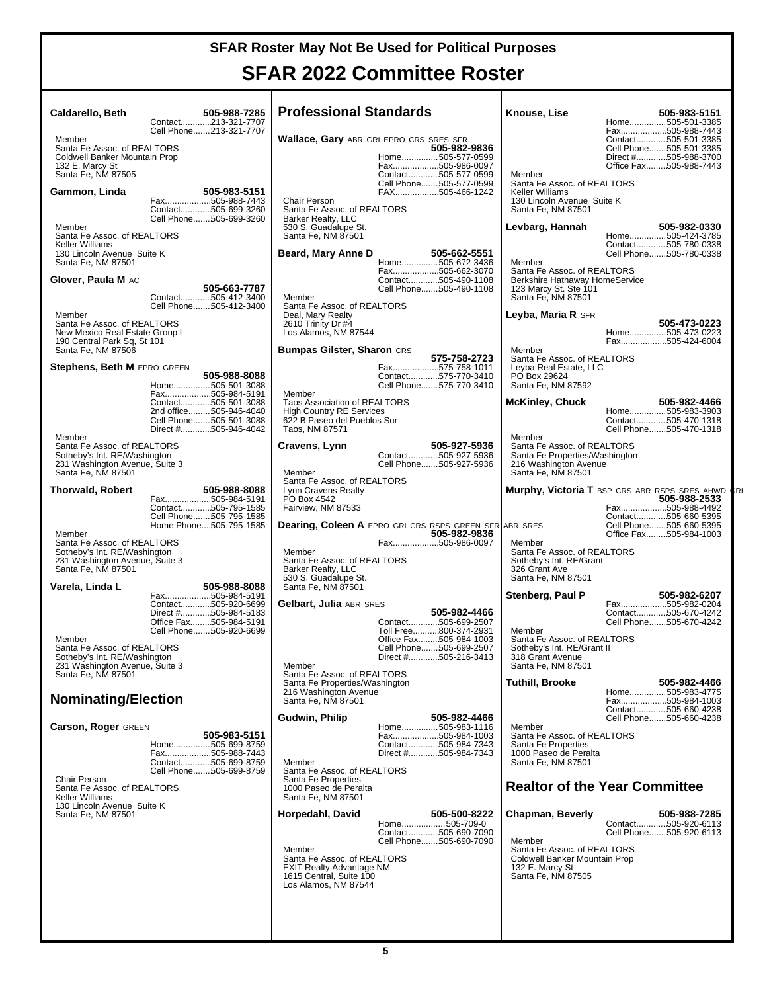### **SFAR 2022 Committee Roster**

| <b>Caldarello, Beth</b><br>Member                                                                                              | 505-988-7285<br>Contact213-321-7707<br>Cell Phone213-321-7707                                                                      | <b>Professional Standards</b><br><b>Wallace, Gary ABR GRI EPRO CRS SRES SFR</b>                                                                                        |                                                                                                                         | Knouse, Lise                                                                                                                                         | 505-983-5151<br>Home505-501-3385<br>Fax505-988-7443<br>Contact505-501-3385       |
|--------------------------------------------------------------------------------------------------------------------------------|------------------------------------------------------------------------------------------------------------------------------------|------------------------------------------------------------------------------------------------------------------------------------------------------------------------|-------------------------------------------------------------------------------------------------------------------------|------------------------------------------------------------------------------------------------------------------------------------------------------|----------------------------------------------------------------------------------|
| Santa Fe Assoc. of REALTORS®<br>Coldwell Banker Mountain Prop<br>132 E. Marcy St<br>Santa Fe, NM 87505<br>Gammon, Linda        | 505-983-5151                                                                                                                       |                                                                                                                                                                        | 505-982-9836<br>Home505-577-0599<br>Fax505-986-0097<br>Contact505-577-0599<br>Cell Phone505-577-0599<br>FAX505-466-1242 | Member<br>Santa Fe Assoc. of REALTORS®<br>Keller Williams                                                                                            | Cell Phone505-501-3385<br>Direct #505-988-3700<br>Office Fax505-988-7443         |
| Member<br>Santa Fe Assoc. of REALTORS®                                                                                         | Fax505-988-7443<br>Contact505-699-3260<br>Cell Phone505-699-3260                                                                   | Chair Person<br>Santa Fe Assoc. of REALTORS®<br>Barker Realty, LLC<br>530 S. Guadalupe St.<br>Santa Fe, NM 87501                                                       |                                                                                                                         | 130 Lincoln Avenue Suite K<br>Santa Fe, NM 87501<br>Levbarg, Hannah                                                                                  | 505-982-0330<br>Home505-424-3785                                                 |
| Keller Williams<br>130 Lincoln Avenue Suite K<br>Santa Fe, NM 87501<br>Glover, Paula M AC                                      |                                                                                                                                    | Beard, Mary Anne D                                                                                                                                                     | 505-662-5551<br>Home505-672-3436<br>Fax505-662-3070<br>Contact505-490-1108                                              | Member<br>Santa Fe Assoc. of REALTORS®<br>Berkshire Hathaway HomeService                                                                             | Contact505-780-0338<br>Cell Phone505-780-0338                                    |
| Member<br>Santa Fe Assoc. of REALTORS®                                                                                         | 505-663-7787<br>Contact505-412-3400<br>Cell Phone505-412-3400                                                                      | Member<br>Santa Fe Assoc. of REALTORS®<br>Deal, Mary Realty<br>2610 Trinity Dr #4                                                                                      | Cell Phone505-490-1108                                                                                                  | 123 Marcy St. Ste 101<br>Santa Fe, NM 87501<br>Leyba, Maria R SFR                                                                                    | 505-473-0223                                                                     |
| New Mexico Real Estate Group L<br>190 Central Park Sq, St 101<br>Santa Fe, NM 87506<br>Stephens, Beth M EPRO GREEN             |                                                                                                                                    | Los Alamos, NM 87544<br><b>Bumpas Gilster, Sharon CRS</b>                                                                                                              | 575-758-2723<br>Fax575-758-1011                                                                                         | Member<br>Santa Fe Assoc. of REALTORS®<br>Leyba Real Estate, LLC                                                                                     | Home505-473-0223<br>Fax505-424-6004                                              |
|                                                                                                                                | 505-988-8088<br>Home505-501-3088<br>Fax505-984-5191<br>Contact505-501-3088<br>2nd office505-946-4040                               | Member<br>Taos Association of REALTORS <sup>®®</sup><br><b>High Country RE Services</b>                                                                                | Contact575-770-3410<br>Cell Phone575-770-3410                                                                           | PO Box 29624<br>Santa Fe, NM 87592<br><b>McKinley, Chuck</b>                                                                                         | 505-982-4466<br>Home505-983-3903                                                 |
| Member<br>Santa Fe Assoc. of REALTORS®<br>Sotheby's Int. RE/Washington<br>231 Washington Avenue, Suite 3<br>Santa Fe, NM 87501 | Cell Phone505-501-3088<br>Direct #505-946-4042                                                                                     | 622 B Paseo del Pueblos Sur<br>Taos, NM 87571<br>Cravens, Lynn<br>Member                                                                                               | 505-927-5936<br>Contact505-927-5936<br>Cell Phone505-927-5936                                                           | Member<br>Santa Fe Assoc. of REALTORS®<br>Santa Fe Properties/Washington<br>216 Washington Avenue<br>Santa Fe, NM 87501                              | Contact505-470-1318<br>Cell Phone505-470-1318                                    |
| Thorwald, Robert                                                                                                               | 505-988-8088<br>Fax505-984-5191<br>Contact505-795-1585<br>Cell Phone505-795-1585<br>Home Phone505-795-1585                         | Santa Fe Assoc. of REALTORS®<br>Lynn Cravens Realty<br>PO Box 4542<br>Fairview, NM 87533<br><b>Dearing, Coleen A EPRO GRI CRS RSPS GREEN SFR ABR SRES</b>              |                                                                                                                         | Murphy, Victoria T BSP CRS ABR RSPS SRES AHWD CRI                                                                                                    | 505-988-2533<br>Fax505-988-4492<br>Contact505-660-5395<br>Cell Phone505-660-5395 |
| Member<br>Santa Fe Assoc. of REALTORS®<br>Sotheby's Int. RE/Washington<br>231 Washington Avenue, Suite 3<br>Santa Fe, NM 87501 |                                                                                                                                    | Member<br>Santa Fe Assoc. of REALTORS®<br>Barker Realty, LLC<br>530 S. Guadalupe St.                                                                                   | 505-982-9836<br>Fax505-986-0097                                                                                         | Member<br>Santa Fe Assoc. of REALTORS®<br>Sotheby's Int. RE/Grant<br>326 Grant Ave<br>Santa Fe, NM 87501                                             | Office Fax505-984-1003                                                           |
| Varela, Linda L<br>Member                                                                                                      | 505-988-8088<br>Fax505-984-5191<br>Contact505-920-6699<br>Direct #505-984-5183<br>Office Fax505-984-5191<br>Cell Phone505-920-6699 | Santa Fe, NM 87501<br>Gelbart, Julia ABR SRES                                                                                                                          | 505-982-4466<br>Contact505-699-2507<br>Toll Free800-374-2931<br>Office Fax505-984-1003                                  | Stenberg, Paul P<br>Member<br>Santa Fe Assoc. of REALTORS®                                                                                           | 505-982-6207<br>Fax505-982-0204<br>Contact505-670-4242<br>Cell Phone505-670-4242 |
| Santa Fe Assoc. of REALTORS®<br>Sotheby's Int. RE/Washington<br>231 Washington Avenue, Suite 3<br>Santa Fe, NM 87501           |                                                                                                                                    | Member<br>Santa Fe Assoc. of REALTORS <sup>®</sup><br>Santa Fe Properties/Washington                                                                                   | Cell Phone505-699-2507<br>Direct #505-216-3413                                                                          | Sotheby's Int. RE/Grant II<br>318 Grant Avenue<br>Santa Fe, NM 87501<br><b>Tuthill, Brooke</b>                                                       | 505-982-4466                                                                     |
| <b>Nominating/Election</b>                                                                                                     |                                                                                                                                    | 216 Washington Avenue<br>Santa Fe, NM 87501                                                                                                                            |                                                                                                                         |                                                                                                                                                      | Home505-983-4775<br>Fax505-984-1003<br>Contact505-660-4238                       |
| <b>Carson, Roger GREEN</b><br>Chair Person<br>Santa Fe Assoc. of REALTORS®                                                     | 505-983-5151<br>Home505-699-8759<br>Fax505-988-7443<br>Contact505-699-8759<br>Cell Phone505-699-8759                               | Gudwin, Philip<br>Member<br>Santa Fe Assoc. of REALTORS®<br>Santa Fe Properties<br>1000 Paseo de Peralta                                                               | 505-982-4466<br>Home505-983-1116<br>Fax505-984-1003<br>Contact505-984-7343<br>Direct #505-984-7343                      | Member<br>Santa Fe Assoc. of REALTORS®<br>Santa Fe Properties<br>1000 Paseo de Peralta<br>Santa Fe, NM 87501<br><b>Realtor of the Year Committee</b> | Cell Phone505-660-4238                                                           |
| <b>Keller Williams</b><br>130 Lincoln Avenue Suite K<br>Santa Fe, NM 87501                                                     |                                                                                                                                    | Santa Fe, NM 87501<br>Horpedahl, David<br>Member<br>Santa Fe Assoc. of REALTORS®<br><b>EXIT Realty Advantage NM</b><br>1615 Central, Suite 100<br>Los Alamos, NM 87544 | 505-500-8222<br>Home505-709-0<br>Contact505-690-7090<br>Cell Phone505-690-7090                                          | Chapman, Beverly<br>Member<br>Santa Fe Assoc. of REALTORS®<br>Coldwell Banker Mountain Prop<br>132 E. Marcy St<br>Santa Fe, NM 87505                 | 505-988-7285<br>Contact505-920-6113<br>Cell Phone505-920-6113                    |
|                                                                                                                                |                                                                                                                                    |                                                                                                                                                                        |                                                                                                                         |                                                                                                                                                      |                                                                                  |